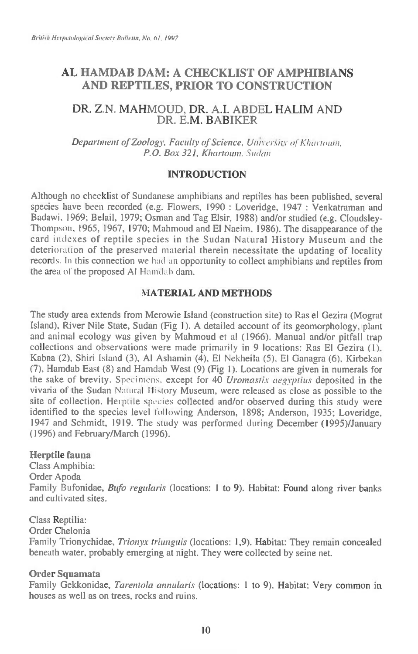# **AL HAMDAB DAM: A CHECKLIST OF AMPHIBIANS AND REPTILES, PRIOR TO CONSTRUCTION**

## DR. Z.N. MAHMOUD, DR. A.I. ABDEL HALIM AND DR. E.M. BABIKER

Department of Zoology, Faculty of Science, University of Khartoum, P.O. Box 321, Khartoum, Sudan

### **INTRODUCTION**

Although no checklist of Sundanese amphibians and reptiles has been published, several species have been recorded (e.g. Flowers, 1990 : Loveridge, 1947 : Venkatraman and Badawi, 1969; Belail, 1979; Osman and Tag Elsir, 1988) and/or studied (e.g. Cloudsley-Thompson, 1965, 1967, 1970; Mahmoud and El Naeim, 1986). The disappearance of the card indexes of reptile species in the Sudan Natural History Museum and the deterioration of the preserved material therein necessitate the updating of locality records. In this connection we had an opportunity to collect amphibians and reptiles from the area of the proposed Al Hamdal) dam.

### **NIATERIAL AND METHODS**

The study area extends from Merowie Island (construction site) to Ras el Gezira (Mograt Island), River Nile State, Sudan (Fig 1). A detailed account of its geomorphology, plant and animal ecology was given by Mahmoud et al (1966). Manual and/or pitfall trap collections and observations were made primarily in 9 locations: Ras El Gezira (1), Kabna (2), Shiri Island (3), Al Ashamin (4), El Nekheila (5), El Ganagra (6), Kirbekan (7), Hamdab East (8) and Hamdab West (9) (Fig 1). Locations are given in numerals for the sake of brevity. Specimens. except for 40 Uromastix aegyptius deposited in the vivaria of the Sudan Natural History Museum, were released as close as possible to the site of collection. Herptile species collected and/or observed during this study were identified to the species level following Anderson, 1898; Anderson, 1935; Loveridge, 1947 and Schmidt, 1919. The study was performed during December (1995)/January (1996) and February/March (1996).

#### **Herptile fauna**

Class Amphibia: Order Apoda Family Bufonidae, Bufo regularis (locations: 1 to 9). Habitat: Found along river banks and cultivated sites.

#### Class Reptilia:

Order Chelonia

Family Trionychidae, Trionyx triunguis (locations: 1,9). Habitat: They remain concealed beneath water, probably emerging at night. They were collected by seine net.

### **Order Squamata**

Family Gekkonidae, Tarentola annularis (locations: 1 to 9). Habitat: Very common in houses as well as on trees, rocks and ruins.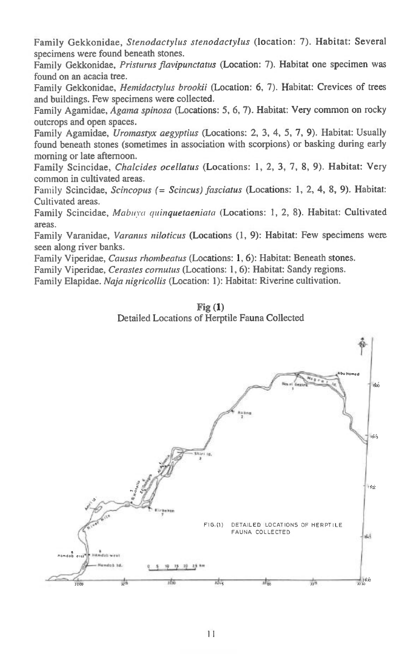Family Gekkonidae, *Stenodactylus stenodactylus* (location: 7). Habitat: Several specimens were found beneath stones.

Family Gekkonidae, *Pristurus flavipunctatus* (Location: 7). Habitat one specimen was found on an acacia tree.

Family Gekkonidae, *Hemidactylus brookii* (Location: 6, 7). Habitat: Crevices of trees and buildings. Few specimens were collected.

Family Agamidae, *Agama spinosa* (Locations: 5, 6, 7). Habitat: Very common on rocky outcrops and open spaces.

Family Agamidae, *Uromastyx aegyptius* (Locations: 2, 3, 4, 5, 7, 9). Habitat: Usually found beneath stones (sometimes in association with scorpions) or basking during early morning or late afternoon.

Family Scincidae, *Chalcides ocellatus* (Locations: 1, 2, 3, 7, 8, 9). Habitat: Very common in cultivated areas.

Family Scincidae, *Scincopus (= Scincus) fasciatus* (Locations: 1, 2, 4, 8, 9). Habitat: Cultivated areas.

Family Scincidae, *Mabuya quinquetaeniata* (Locations: 1, 2, 8). Habitat: Cultivated areas.

Family Varanidae, *Varanus niloticus* (Locations (1, 9): Habitat: Few specimens were seen along river banks.

Family Viperidae, *Causus rhombeatus* (Locations: 1, 6): Habitat: Beneath stones.

Family Viperidae, *Cerastes cornutus* (Locations: 1, 6): Habitat: Sandy regions.

Family Elapidae. *Naja nigricollis* (Location: 1): Habitat: Riverine cultivation.

#### **Fig (1)**  Detailed Locations of Herptile Fauna Collected

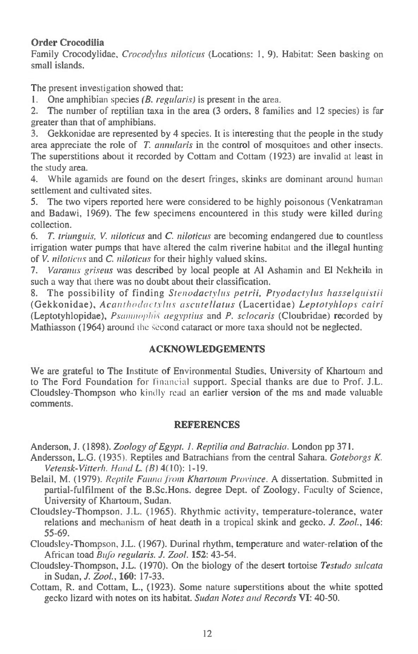### **Order Crocodilia**

Family Crocodylidae, *Crocodyhts niloticus* (Locations: 1, 9). Habitat: Seen basking on small islands.

The present investigation showed that:

**I.** One amphibian species *(B. regularis) is* present in the area.

2. The number of reptilian taxa in the area (3 orders, 8 families and 12 species) is far greater than that of amphibians.

3. Gekkonidae are represented by 4 species. It is interesting that the people in the study area appreciate the role of *T. annularis* in the control of mosquitoes and other insects. The superstitions about it recorded by Cottam and Cottam (1923) are invalid at least in the study area.

4. While agamids are found on the desert fringes, skinks are dominant around human settlement and cultivated sites.

5. The two vipers reported here were considered to be highly poisonous (Venkatraman and Badawi, 1969). The few specimens encountered in this study were killed during collection.

*6. T. triunguis, V. niloticus* and C. *niloticus* are becoming endangered due to countless irrigation water pumps that have altered the calm riverine habitat and the illegal hunting of *V. niloticus* and C. *niloticus* for their highly valued skins.

*7. Varanus griseus* was described by local people at Al Ashamin and El Nekheila in such a way that there was no doubt about their classification.

8. The possibility of finding *Stenodactylus petrii, Ptyodactylus hasselquistii*  (Gekkonidae), *Acanthodactylus ascutellatus* (Lacertidae) *Leptotyhlops cairi*  (Leptotyhlopidae), *Pstomiophi. aegyptius* and *P. sclocaris* (Cloubridae) recorded by Mathiasson (1964) around the second cataract or more taxa should not be neglected.

### **ACKNOWLEDGEMENTS**

We are grateful to The Institute of Environmental Studies, University of Khartoum and to The Ford Foundation for financial support. Special thanks are due to Prof. J.L. Cloudsley-Thompson who kindly read an earlier version of the ms and made valuable comments.

#### **REFERENCES**

Anderson, J. (1898). *Zoology of Egypt. 1. Reptilia and Batrachia.* London pp 371.

- Andersson, L.G. (1935). Reptiles and Batrachians from the central Sahara. *Goteborgs K. Vetensk-Vitterh. Hand L. (B)* 4(10): 1-19.
- Belail, M. (1979). *Reptile Fauna from Khartoum Province.* A dissertation. Submitted in partial-fulfilment of the B.Sc.Hons. degree Dept. of Zoology. Faculty of Science, University of Khartoum, Sudan.
- Cloudsley-Thompson, J.L. (1965). Rhythmic activity, temperature-tolerance, water relations and mechanism of heat death in a tropical skink and gecko. *J. Zool.,* **146:**  55-69.
- Cloudsley-Thompson, J.L. (1967). Durinal rhythm, temperature and water-relation of the African toad *Bidiz regularis. J. Zool.* **152:** 43-54.
- Cloudsley-Thompson, J.L. (1970). On the biology of the desert tortoise *Testudo sulcata*  in Sudan, *J. Zool.,* **160:** 17-33.
- Cottam, R. and Cottam, **L.,** (1923). Some nature superstitions about the white spotted gecko lizard with notes on its habitat. *Sudan Notes and Records VI:* 40-50.